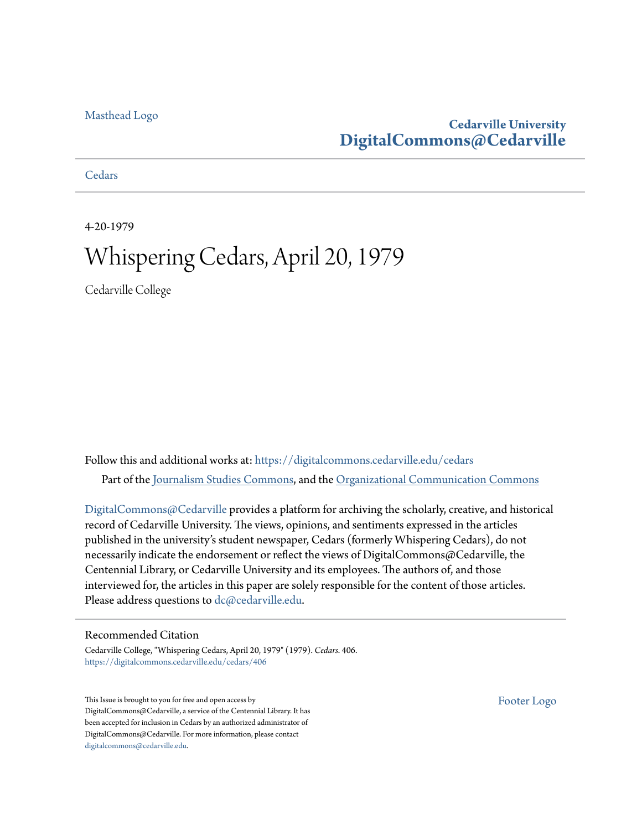#### [Masthead Logo](http://www.cedarville.edu/?utm_source=digitalcommons.cedarville.edu%2Fcedars%2F406&utm_medium=PDF&utm_campaign=PDFCoverPages)

### **Cedarville University [DigitalCommons@Cedarville](https://digitalcommons.cedarville.edu?utm_source=digitalcommons.cedarville.edu%2Fcedars%2F406&utm_medium=PDF&utm_campaign=PDFCoverPages)**

**[Cedars](https://digitalcommons.cedarville.edu/cedars?utm_source=digitalcommons.cedarville.edu%2Fcedars%2F406&utm_medium=PDF&utm_campaign=PDFCoverPages)** 

4-20-1979

### Whispering Cedars, April 20, 1979

Cedarville College

Follow this and additional works at: [https://digitalcommons.cedarville.edu/cedars](https://digitalcommons.cedarville.edu/cedars?utm_source=digitalcommons.cedarville.edu%2Fcedars%2F406&utm_medium=PDF&utm_campaign=PDFCoverPages) Part of the [Journalism Studies Commons](http://network.bepress.com/hgg/discipline/333?utm_source=digitalcommons.cedarville.edu%2Fcedars%2F406&utm_medium=PDF&utm_campaign=PDFCoverPages), and the [Organizational Communication Commons](http://network.bepress.com/hgg/discipline/335?utm_source=digitalcommons.cedarville.edu%2Fcedars%2F406&utm_medium=PDF&utm_campaign=PDFCoverPages)

[DigitalCommons@Cedarville](http://digitalcommons.cedarville.edu/) provides a platform for archiving the scholarly, creative, and historical record of Cedarville University. The views, opinions, and sentiments expressed in the articles published in the university's student newspaper, Cedars (formerly Whispering Cedars), do not necessarily indicate the endorsement or reflect the views of DigitalCommons@Cedarville, the Centennial Library, or Cedarville University and its employees. The authors of, and those interviewed for, the articles in this paper are solely responsible for the content of those articles. Please address questions to [dc@cedarville.edu.](mailto:dc@cedarville.edu)

#### Recommended Citation

Cedarville College, "Whispering Cedars, April 20, 1979" (1979). *Cedars*. 406. [https://digitalcommons.cedarville.edu/cedars/406](https://digitalcommons.cedarville.edu/cedars/406?utm_source=digitalcommons.cedarville.edu%2Fcedars%2F406&utm_medium=PDF&utm_campaign=PDFCoverPages)

This Issue is brought to you for free and open access by DigitalCommons@Cedarville, a service of the Centennial Library. It has been accepted for inclusion in Cedars by an authorized administrator of DigitalCommons@Cedarville. For more information, please contact [digitalcommons@cedarville.edu](mailto:digitalcommons@cedarville.edu).

[Footer Logo](http://www.cedarville.edu/Academics/Library.aspx?utm_source=digitalcommons.cedarville.edu%2Fcedars%2F406&utm_medium=PDF&utm_campaign=PDFCoverPages)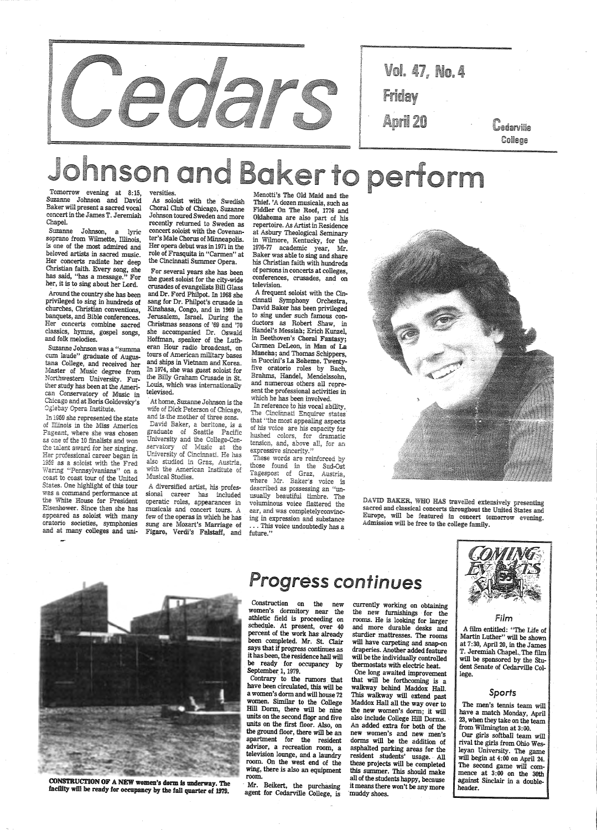

| Vol.            | 47, No. | 4 |                                            |
|-----------------|---------|---|--------------------------------------------|
| Friday          |         |   |                                            |
| <b>April 20</b> |         |   | <i><u><b>Cedarville</b></u></i><br>College |

Johnson and Bakerto perform

Suzanne Johnson and David Baker will present a sacred vocal concert in the James T. Jeremiah Chapel.

Around the country she has been privileged to sing in hundreds of churches, Christian conventions, banquets, and Bible conferences. Her concerts combine sacred classics, hymns, gospel songs, and folk melodies. and folk melodies.

Suzanne Johnson, a lyric soprano from Wilmette, Illinois, is one of the most admired and beloved artists in sacred music. Her concerts radiate her deep Christian faith. Every song, she has said, "has a message." For her, it is to sing about her Lord.

Suzanne Johnson was a "summa cwn laude" graduate of Augustana College, and received her Morthwestern University. Fur-<br>ther study has been at the American Conservatory of Music in Chicago and at Boris Goldovsky's<br>Oglebay Opera Institute.

In 1959 she represented the state of Illinois in the Miss America Pageant, where she was chosen as one of the 10 finalists and won the talent award for her singing. Her professional career began in 1959 as a soloist with the Fred Waring "Pennsylvanians" on a coast to coast tour of the United States. One highlight of this tour was a command performance at the White House for President Eisenhower. Since then she has appeared as soloist with many oratorio societies, symphonies and at many colleges and universities.

As soloist with the Swedish Choral.Club·of Chicago, Suzanne Johnson toured Sweden and more recently returned to Sweden as concert soloist with the Covenanter's Male Chorus of Minneapolis. Her opera debut was in 1971 in the role of Frasquita in "Carmen" at the Cincinnati Summer Opera.

For several years she has been<br>the guest soloist for the city-wide<br>crusades of evangelists Bill Glass<br>and Dr. Ford Philpot. In 1968 she<br>sang for Dr. Philpot's crusade in<br>Kinshasa, Congo, and in 1969 in<br>Jerusalem, Israel. D she accompanied Dr. Oswald Hoffman, speaker of the Luth eran Hour radio broadcast, on<br>tours of American military bases and ships in Vietnam and Korea.<br>In 1974, she was guest soloist for<br>the Billy Graham Crusade in St.<br>Louis, which was internationally<br>televised.

At home, Suzanne Johnson is the wife of Dick Peterson of Chicago,<br>and is-the mother of three sons. David Baker, a baritone, is a<br>graduate of Seattle Pacific University and the College-Con-<br>servatory of Music at the University of Cincinnati. He has also studied in Graz, Austria, with the American Institute of Musical Studies.

A diversified artist, his profes-<br>sional career has included<br>operatic roles, appearances in<br>musicals and concert tours. A<br>few of the operas in which he has<br>sung are Mozart's Marriage of Figaro, Verdi's Falstaff, and

those found in the Sud-Ost Tagespost of Graz, Austria, where Mr. Baker's voice is described as possessing an "un usually beautiful timbre. The voluminous voice flattered the ear, and was completelyconvincing in expression and substance

Construction on the new women's dormitory near the athletic field is proceeding on schedule. At present, over 40 percent of the work has already been completed. Mr. St. Clair

currently working on obtaining<br>the new furnishings for the rooms. He is looking for larger and more durable desks and sturdier mattresses. The rooms will have carpeting and snap-on draperies. Another added feature will be the individually controlled thermostats with electric heat. One long awaited improvement that will be forthcoming is a walkway behind Maddox Hall. Maddox Hall all the way over to the new women's dorm; it will also include College Hill Dorms. An added extra for both of the new women's and new men's dorms will be the addition of asphalted parking areas for the resident students' usage. All these projects will be completed this summer. This should make all of the students happy, because this summer. This should make it means there won't be any more inuddy shoes.



Contrary to the rumors that have been circulated, this will be a women's dorm and will house 72 women. Similar to the College Hill Dorm, there will be nine units on the second fl09r and five units on the first floor. Also, on the ground floor, there will be an apartment for the resident advisor, a recreation room, a television lounge, and a laundry room. On the west end of the wing, there is also an equipment room.

Mr. Beikert, the purchasing agent for Cedarville College, is

Menotti's The Old Maid and the Thief. 'A dozen musicals, such as Fiddler On The Roof, 1776 and<br>Oklahoma are also part of his Oklahoma are also part of his repertoire. As Artist in Residence at Asbury Theological Seminary in Wilmore, Kentucky, for the Baker was able to sing and share his Christian faith with hundreds<br>of persons in concerts at colleges. conferences, crusades, and on television.

 A frequent soloist with the Cincinnati Symphony Orchestra, David Baker has been privileged to sing under such famous conductors as Robert Shaw, in Handel's Messiah; Erich Kunzel, in Beethoven's Choral Fantasy; Carmen DeLeon, in Man of La Mancha; and Thomas Schippers, in Puccini's La Boheme. Twenty-<br>five oratorio roles by Bach, Brahms, Handel, Mendelssohn, and nwnerous others all represent the professional activities in which he has been involved.

In reference to his vocal ability,<br>The Cincinnati Enquirer states<br>that "the most appealing aspects that "the most appealing aspects<br>of his voice are his capacity for<br>hushed colors, for dramatic tension, and, above all, for an expressive sincerity."<br>These words are reinforced by

. . . This voice undoubtedly has a future."



DAVID BAKER, WHO HAS travelled extensively presenting sacred and classical concerts throughout the United States and Europe, will be featured in concert tomorrow evening. Admission will be free to the college family.



## Progress continues

says that if progress continues as it has been, the residence hall will be ready for occupancy by September 1, 1979.

Film

A film entitled: "The Life of Martin Luther" will be shown at 7:30, April 20, in the James

CONSTRUCTION OF A NEW women's dorm is underway. The facility will be ready for occupancy by the fall quarter of 1979.

T. Jeremiah Chapel.\_ The film will be sponsored by the Student Senate of Cedarville College.

#### *Sports*

The men's tennis team will have a match Monday, April 23, when they take on the team from Wilmington at 3:00. Our girls softball team will rival the girls from Ohio Wesleyan University. The game will begin at 4: 00 on April 24. The second game will commence at 3:00 on the 30th against Sinclair in a doubleheader.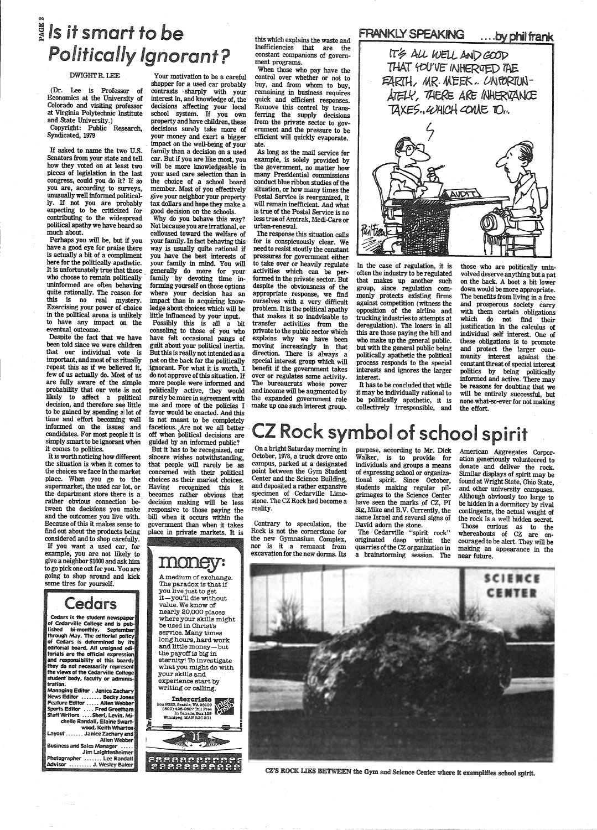### G'll  $\frac{8}{3}$  Is it smart to be Politically Ignorant?

#### DWIGHT R. LEE

Copyright: Public Research, Syndicated, 1979

(Dr. Lee is Professor of Economics at the University of Colorado and visiting professor at Virginia Polytechnic Institute and State University.)

If asked to name the two U.S. Senators from your state and tell how they voted on at least two pieces of legislation in the last congress, could you do it? If so you are, according to surveys, unusually well informed politically. If not you are probably expecting to be criticized for contributing to the widespread political apathy we have heard so much about.

Your motivation to be a careful shopper for a used car probably contrasts · sharply with your interest in, and knowledge of, the decisions affecting your local school system. If you own property and have children, these decisions surely take more of your money and exert a bigger . impact on the well-being of your family than a decision on a used car. But if you are like most, you will be more knowledgeable in your used care selection than in the choice of a school board member. Most of you effectively <sup>g</sup>ive your neighbor your property tax dollars and hope they make <sup>a</sup>

Despite the fact that we have been told since we were children that our individual vote is important, and most of us ritually repeat this as if we believed it, few of us actually do. Most of us are fully aware of the simple probability that our vote is not likely to affect a political decision, and therefore see little to be gained by spending a lot of time and effort becoming well informed on the issues and candidates. For most peopfe it is simply smart to be ignorant when it comes to politics.

Cedars is the student newspaper of Cedarville College and is pu lishecl bi-monthly, September through May. The editorial policy of Cedars is determined by editorial board. All unsigned edi torials are the official expressi and responsibility of this board; they do not necessarily represe the views of the Cedarville Coll student. body, faculty or administration. Managing Editor . Janice Zachary News Editor ........ Becky Jones Feature Editor ..... Allen Webber Sports Editor .... Fred Greetham Staff Writers .... Sheri, Levin, Michelle Randall, Elaine Swartwood, Keith Wharton Layout ....... Janice Zachary and Allen Webber Business and Sales Manager .... Jim Leightenheimer Photographer ....... Lee Randall Advisor ......... J. Wesley Baker

Perhaps you will be, but if you have a good eye for praise there is actually a bit of a compliment here for the politically apathetic. It is unfortunately true that those who choose to remain politically uninformed are often behaving quite rationally. The reason for this is no real mystery. Exercising your power of choice in the political arena is unlikely to have any impact on the eventual outcome.

> <sup>A</sup>medium of exchange. The paradox is that if you live just to get it-you TI die without value. We know of nearly 20,000 places where your skills might be used in Christ's service. Many times long hours, hard work and little money-but

It is worth noticing how different the situation is when it comes to the choices we face in the market <sup>p</sup>lace. When you go to the supermarket, the used car lot, or the department store there is a rather obvious connection between the decisions you make and the outcomes you live with. Because of this it makes sense to find out about the products being considered and to shop carefully. If you want a used car, for example, you are not likely to give a neighbor \$1000 and ask him to go pick one out for you. You are going to shop around and kick some tires for yourself.

### **Cedars**

good decision on the schools. Why do you behave this way? Not because you are irrational, or calloused toward the welfare of your family. In fact behaving this way is usually quite rational if you have the best interests of your family in mind. You will generally do more for yout family by devoting time informing yourself on those options where your decision has an impact than in acquiring knowledge about choices which will be little influenced by your input.

Intercristo Entercristo<br>Box 9323, Seattle, WA 98109<br>(800) 426-0507 Toll Free<br>In Canada, Box 129<br>Winnipeg, MAN R3C 2Gl





Possibly this is all a bit consoling to those of you who have felt occasional pangs of guilt about your political inertia. But this is really not intended as <sup>a</sup> pat on the back for the politically .ignorant. For what it is worth, I do not approve of this situation. If more people were informed and politically active, they would surely be more in agreement with me and more of the policies I favor would be enacted. And this is not meant to be completely facetious. Are not we all better off when political decisions are guided by an informed public?

But it has to be recognized, our sincere wishes notwithstanding, that people will rarely be as concerned with their political choices as their market choices. Having recognized this it becomes rather obvious that decision making will be less responsive to those paying the bill when it occurs within the government than when it takes place in private markets. It is

money

the payoff is big in eternity! To investigate what you might do with your skills and experience start by writing or calling.

this which explains the waste and inefficiencies that are the constant companions of government programs.

When those who pay have the control over whether or not to buy, and from whom to buy, remaining in business requires quick and efficient responses. Remove this control by transferring the supply decisions from the private sector to government and the pressure to be efficient will quickly eyaporate. ate.

As long as the mail service for example, is solely provided by the government, no matter how many Presidential commissions conduct blue ribbon studies of the situation, or how many times the Postal Service is reorganized, it will remain inefficient. And what is true of the Postal Service is no less true of Amtrak, Medi-Care or urban-renewal.

The response this situation calls for is conspicuously clear. We need to resist stoutly the constant pressures for government either to take over or heavily regulate activities which can be performed in the private sector. But despite the obviousness of the appropriate response, we find ourselves with a very difficult problem. It is the political apathy that makes it so inadvisable to transfer activities from the private to the public sector which explains why we have been moving increasingly in that direction. There is always a special interest group which will benefit if the government takes over or regulates some activity. The bureaucrats whose power and income will be augmented by the expanded government role make up one such interest group.



In the case of regulation, it is often the industry to be regulated that makes up another such group, since regulation commonly protects existing firms against competition (witness the opposition of the airline and trucking industries to attempts at deregulation). The losers in all this are those paying the bill and who make up the general public. but with the general public being politically apathetic the political process responds to the special interests and ignores the larger interest.

It has to be concluded that while it may be individually rational to be politically apathetic, it is collectively irresponsible, and

those who are politically uninvolved deserve anything but a pat on the back. A boot a bit lower down would be more appropriate. The benefits from living in a free<br>and prosperous society carry with them certain obligations which do not find their justification in the calculus of individual self interest. One of these obligations is to promote and protect the larger community interest against the constant threat of special interest politics by being politically informed and active. There may be reasons for doubting that we will be entirely successful, but none what-so-ever for not making the effort.

# <sup>Z</sup>Rock symbol of school spirit

On a bright Saturday morning in October, 1978, a truck drove onto campus, parked at a designated point between the Gym Student Center and the Science Building, and deposited a rather expansive specimen of Cedarville Limestone. The CZ Rock had become a reality.

Contrary to speculation, the Rock is not the cornerstone for the new Gymnasium Complex, nor is it a remnant from excavation for the new dorms. Its

purpose, according to Mr. Dick Walker, is to provide for individuals and groups a means of expressing school or organizational spirit. Since October, students making regular pilgrimages to the Science Center have seen the marks of CZ, PI Sig, Mike and B.V. Currently, the name Israel and several signs of David adorn the stone.

The Cedarville "spirit rock" originated deep within the quarries of the CZ organization in a brainstorming session. The

American Aggregates Corporation generiously volunteered to donate and deliver the rock. Similar displays of spirit may be found at Wright State, Ohio State, and other university campuses. Although obviously too large to be hidden in a dormitory by rival contingents, the actual weight of the rock is a well hidden secret. Those curious as to the whereabouts of CZ are encouraged to be alert. They will be making an appearance in the near future.



CZ'S ROCK LIES BETWEEN the Gym and Science Center where it exemplifies school spirit.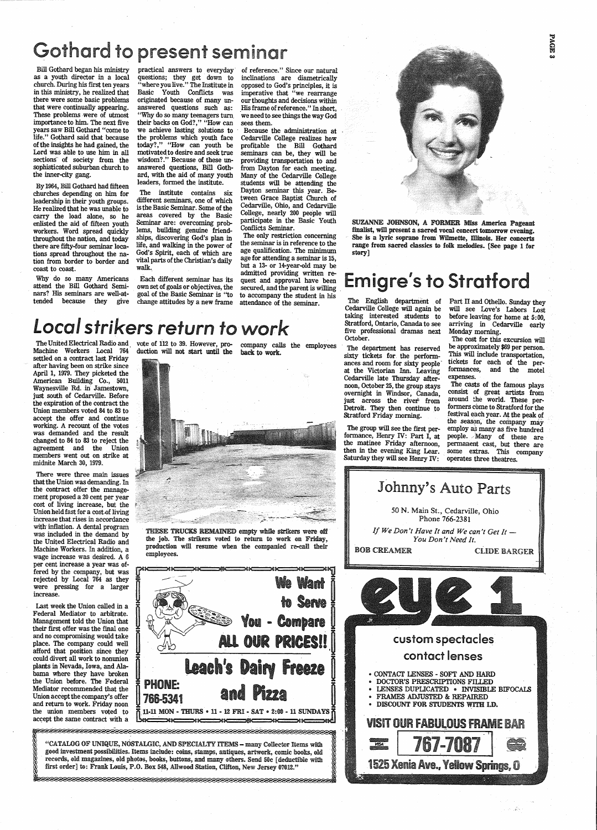## Gothard to present seminar

Bill Gothard began his ministry as a youth director in a local .church. During his first ten years in this ministry, he realized that there were some basic problems that were continually appearing. These problems were of utmost importance to him. The next five years saw Bill Gothard "come to life." Gothard said that because of the insights he had gained, the Lord was able to use him in all sections of society from the sophisticated suburban church to the inner-city gang.

By 1964, Bill Gothard had fifteen churches depending on him for leadership in their youth groups. He realized that he was unable to carry the load alone, so he enlisted the aid of fifteen youth workers. Word spread quickly throughout the nation, and today there are fifty-four seminar locations spread throughout the nation from border to border and coast to coast.

Why do so many Americans attend the Bill Gothard Seminars? His seminars are well-attended because they give practical answers to everyday· questions; they get down to "where you live." The Institute in Basic Youth Conflicts was originated because of many unanswered questions such as: "Why do so many teenagers turn. their backs on God?," "How can we achieve lasting solutions to the problems which youth face today?," "How can youth be motivated to desire and seek true wisdom?." Because of these unanswered questions, Bill Gothard, with the aid of many youth leaders, formed the institute.

The United Electrical Radio and vote of 112 to 39. However, pro-Machine Workers Local 764 duction will not start until the company calls the employees back to work. duction will not start until the back to work.



The institute contains six different seminars, one of which is the Basic Seminar. Some of the areas covered by the Basic Seminar are: overcoming problems, building genuine friendships, discovering God's plan in life, and walking in the power of God's Spirit, each of which are vital parts of the Christian's daily walk.

Each different seminar has its own set of goals or objectives, the goal of the Basic Seminar is "to change attitudes by a new frame

of reference." Since our natural inclinations are diametrically opposed to God's principles, it is imperative that "we rearrange our thoughts and decisions within .His frame of reference." In short, we need to see things the way God sees them.

 Because the administration at Cedarville College realizes how profitable the Bill Gothard seminars can be, they will be providing transportation to and from Dayton for each meeting. Many of the Cedarville College students will be attending the Dayton seminar this year. Between Grace Baptist Church of Cedarville, Ohio, and Cedarville College, nearly 200 people will participate in the Basic Youth Conflicts Seminar.

The only restriction concerning the seminar is in reference to the age qualification. The minimum age for attending a seminar is 15, but a 13- or 14-year-old may be admitted providing written request and approval have been secured, and the parent is willing to accompany the student in his attendance of the seminar.

> The department has reserved sixty tickets for the performances and room for sixty people· at the Victorian Inn. Leaving Cedarville late Thursday afternoon, October 25, the group stays overnight in Windsor, Canada, just across the river<sup>\*</sup> from Detroit. They then continue to Stratford Friday morning.

## Local *strikers* return *to work*

Part II and Othello. Sunday they will see Love's Labors Lost before leaving for home at 5:00, arriving in Cedarville early Monday morning.

settled on a contract last Friday after having been on strike since April 1, 1979. They picketed the American Building Co., 5011 Waynesville Rd. in Jamestown, just south of Cedarville. Before the expiration of the contract the Union members voted 84 to 83 to accept the offer and continue working. A recount of the votes was demanded and the result changed to 84 to 83 to reject the agreement and the Union members went out on strike at midnite March 30, 1979.

There were three main issues that the Union was demanding. In the contract offer the management proposed a 20 cent per year cost of living increase, but the Union held fast for a cost of living increase that rises in accordance with inflation. A dental program was included in the demand by the United Electrical Radio and Machine Workers. In addition, a wage increase was desired. A 6 per cent increase a year was offered by the company, but was rejected by Local 764 as they were pressing for a larger increase.

Last week the Union called in a Federal Mediator to arbitrate. Management told the Union that their first offer was the final one and no compromising would take place. The company could well afford that position since they could divert all work to nonunion plants in Nevada, Iowa, and Alabama where they have broken the Union before. The Federal Mediator recommended that the Union accept the company's offer and return to work. Friday noon the union members voted to accept the same contract with a

THESE TRUCKS REMAINED empty while strikers were off the job. The strikers voted to return to work on Friday, production will resume when the companied re-call their employees.





"CATALOG OF UNIQUE, NOSTALGIC, AND SPECIALTY ITEMS - many Collector Items with good investment possibilities. Items include: coins, stamps, antiques, artwork, comic books, old records, old magazines, old photos, books, buttons, and many others. Send 50c [ deductible with first order] to: Frank Louis, P.O. Box 548, Allwood Station, Clifton, New Jersey 07012."

SUZANNE JOHNSON, A FORMER Miss America Pageant finalist, will present a sacred vocal concert tomorrow evening. She is a lyric soprano from Wilmette, Illinois. Her concerts range from sacred classics to folk melodies. [See page 1 for story]

## Emigre's to Stratford

The English department of Cedarville College will again be taking interested students to Stratford, Ontario, Canada to see five professional dramas next October.

The group will see the first performance, Henry IV: Part I, at the matinee Friday afternoon, then in the evening King Lear. Saturday they will see Henry IV:

The cost for this excursion will be approximately \$69 per person. This will include transportation, tickets for each of the performances, and the motel



**EAGE** 

The casts of the famous plays consist of great artists from around the world. These performers come to Stratford for the festival each year. At the peak of the season, the company may employ as many as five hundred people. Many of these are permanent cast, but there are some extras. This company operates three theatres.



### custom spectacles

<u> NECESSIOSES ESESES ESESES ESESES ESESES ESESES ESESES ESESES ESESES ESESES ESESES ESESES ESESES ESESESES ESESE</u>